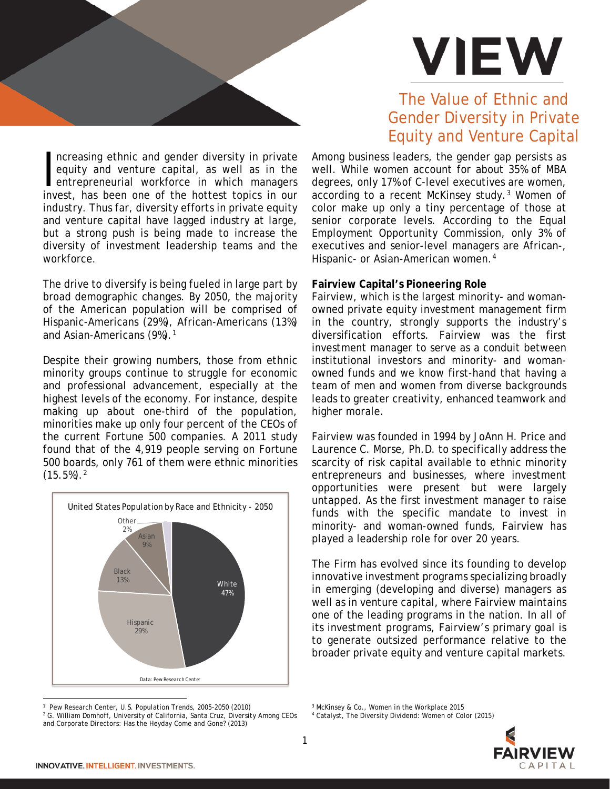

The Value of Ethnic and

#### ncreasing ethnic and gender diversity in private equity and venture capital, as well as in the entrepreneurial workforce in which managers invest, has been one of the hottest topics in our industry. Thus far, diversity efforts in private equity and venture capital have lagged industry at large, but a strong push is being made to increase the diversity of investment leadership teams and the workforce.  $\frac{1}{2}$

The drive to diversify is being fueled in large part by broad demographic changes. By 2050, the majority of the American population will be comprised of Hispanic-Americans (29%), African-Americans (13%) and Asian-Americans (9%).<sup>[1](#page-0-0)</sup>

Despite their growing numbers, those from ethnic minority groups continue to struggle for economic and professional advancement, especially at the highest levels of the economy. For instance, despite making up about one-third of the population, minorities make up only four percent of the CEOs of the current Fortune 500 companies. A 2011 study found that of the 4,919 people serving on Fortune 500 boards, only 761 of them were ethnic minorities  $(15.5\%)$ .<sup>[2](#page-0-1)</sup>



# Gender Diversity in Private Equity and Venture Capital

Among business leaders, the gender gap persists as well. While women account for about 35% of MBA degrees, only 17% of C-level executives are women, according to a recent McKinsey study.[3](#page-0-0) Women of color make up only a tiny percentage of those at senior corporate levels. According to the Equal Employment Opportunity Commission, only 3% of executives and senior-level managers are African-, Hispanic- or Asian-American women.<sup>[4](#page-0-1)</sup>

## **Fairview Capital's Pioneering Role**

Fairview, which is the largest minority- and womanowned private equity investment management firm in the country, strongly supports the industry's diversification efforts. Fairview was the first investment manager to serve as a conduit between institutional investors and minority- and womanowned funds and we know first-hand that having a team of men and women from diverse backgrounds leads to greater creativity, enhanced teamwork and higher morale.

Fairview was founded in 1994 by JoAnn H. Price and Laurence C. Morse, Ph.D. to specifically address the scarcity of risk capital available to ethnic minority entrepreneurs and businesses, where investment opportunities were present but were largely untapped. As the first investment manager to raise funds with the specific mandate to invest in minority- and woman-owned funds, Fairview has played a leadership role for over 20 years.

The Firm has evolved since its founding to develop innovative investment programs specializing broadly in emerging (developing and diverse) managers as well as in venture capital, where Fairview maintains one of the leading programs in the nation. In all of its investment programs, Fairview's primary goal is to generate outsized performance relative to the broader private equity and venture capital markets.

<sup>4</sup> Catalyst, *The Diversity Dividend: Women of Color* (2015)



<span id="page-0-0"></span><sup>&</sup>lt;sup>1</sup> Pew Research Center, U.S. Population Trends, 2005-2050 (2010)

<span id="page-0-1"></span><sup>&</sup>lt;sup>2</sup> G. William Domhoff, University of California, Santa Cruz, Diversity Among CEOs *and Corporate Directors: Has the Heyday Come and Gone?* (2013)

<sup>3</sup> McKinsey & Co., *Women in the Workplace 2015*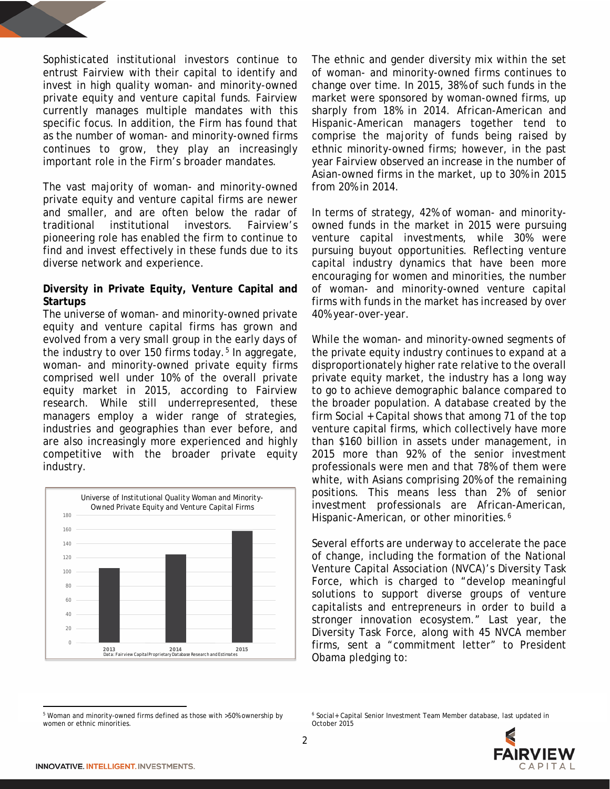Sophisticated institutional investors continue to entrust Fairview with their capital to identify and invest in high quality woman- and minority-owned private equity and venture capital funds. Fairview currently manages multiple mandates with this specific focus. In addition, the Firm has found that as the number of woman- and minority-owned firms continues to grow, they play an increasingly important role in the Firm's broader mandates.

The vast majority of woman- and minority-owned private equity and venture capital firms are newer and smaller, and are often below the radar of traditional institutional investors. Fairview's pioneering role has enabled the firm to continue to find and invest effectively in these funds due to its diverse network and experience.

## **Diversity in Private Equity, Venture Capital and Startups**

The universe of woman- and minority-owned private equity and venture capital firms has grown and evolved from a very small group in the early days of the industry to over 1[5](#page-1-0)0 firms today.<sup>5</sup> In aggregate, woman- and minority-owned private equity firms comprised well under 10% of the overall private equity market in 2015, according to Fairview research. While still underrepresented, these managers employ a wider range of strategies, industries and geographies than ever before, and are also increasingly more experienced and highly competitive with the broader private equity industry.



The ethnic and gender diversity mix within the set of woman- and minority-owned firms continues to change over time. In 2015, 38% of such funds in the market were sponsored by woman-owned firms, up sharply from 18% in 2014. African-American and Hispanic-American managers together tend to comprise the majority of funds being raised by ethnic minority-owned firms; however, in the past year Fairview observed an increase in the number of Asian-owned firms in the market, up to 30% in 2015 from 20% in 2014.

In terms of strategy, 42% of woman- and minorityowned funds in the market in 2015 were pursuing venture capital investments, while 30% were pursuing buyout opportunities. Reflecting venture capital industry dynamics that have been more encouraging for women and minorities, the number of woman- and minority-owned venture capital firms with funds in the market has increased by over 40% year-over-year.

While the woman- and minority-owned segments of the private equity industry continues to expand at a disproportionately higher rate relative to the overall private equity market, the industry has a long way to go to achieve demographic balance compared to the broader population. A database created by the firm Social + Capital shows that among 71 of the top venture capital firms, which collectively have more than \$160 billion in assets under management, in 2015 more than 92% of the senior investment professionals were men and that 78% of them were white, with Asians comprising 20% of the remaining positions. This means less than 2% of senior investment professionals are African-American, Hispanic-American, or other minorities.<sup>[6](#page-1-0)</sup>

Several efforts are underway to accelerate the pace of change, including the formation of the National Venture Capital Association (NVCA)'s Diversity Task Force, which is charged to "develop meaningful solutions to support diverse groups of venture capitalists and entrepreneurs in order to build a stronger innovation ecosystem." Last year, the Diversity Task Force, along with 45 NVCA member firms, sent a "commitment letter" to President Obama pledging to:

<span id="page-1-0"></span> $\overline{\phantom{a}}$ <sup>5</sup> Woman and minority-owned firms defined as those with >50% ownership by women or ethnic minorities.

<sup>6</sup> Social+ Capital Senior Investment Team Member database, last updated in October 2015

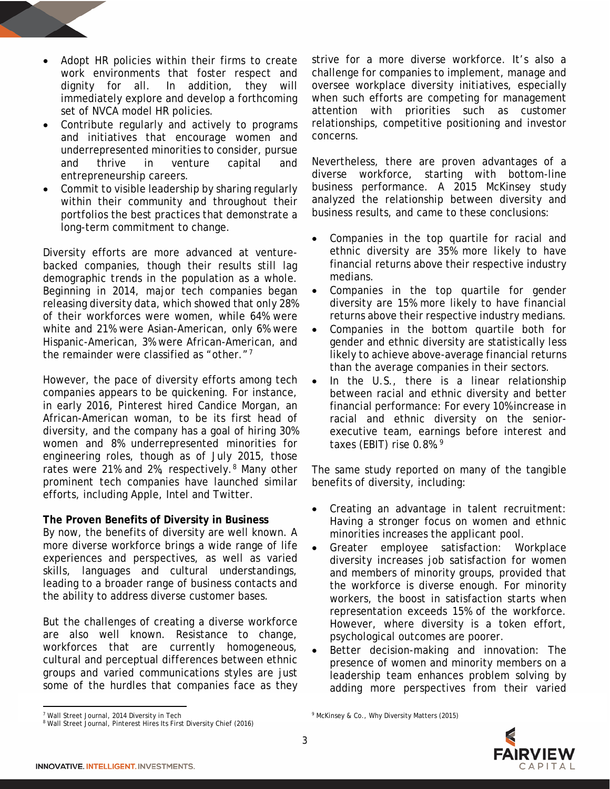- Adopt HR policies within their firms to create work environments that foster respect and dignity for all. In addition, they will immediately explore and develop a forthcoming set of NVCA model HR policies.
- Contribute regularly and actively to programs and initiatives that encourage women and underrepresented minorities to consider, pursue and thrive in venture capital and entrepreneurship careers.
- Commit to visible leadership by sharing regularly within their community and throughout their portfolios the best practices that demonstrate a long-term commitment to change.

Diversity efforts are more advanced at venturebacked companies, though their results still lag demographic trends in the population as a whole. Beginning in 2014, major tech companies began releasing diversity data, which showed that only 28% of their workforces were women, while 64% were white and 21% were Asian-American, only 6% were Hispanic-American, 3% were African-American, and the remainder were classified as "other."[7](#page-2-0)

However, the pace of diversity efforts among tech companies appears to be quickening. For instance, in early 2016, Pinterest hired Candice Morgan, an African-American woman, to be its first head of diversity, and the company has a goal of hiring 30% women and 8% underrepresented minorities for engineering roles, though as of July 2015, those rates were 21% and 2%, respectively.<sup>[8](#page-2-1)</sup> Many other prominent tech companies have launched similar efforts, including Apple, Intel and Twitter.

## **The Proven Benefits of Diversity in Business**

By now, the benefits of diversity are well known. A more diverse workforce brings a wide range of life experiences and perspectives, as well as varied skills, languages and cultural understandings, leading to a broader range of business contacts and the ability to address diverse customer bases.

But the challenges of creating a diverse workforce are also well known. Resistance to change, workforces that are currently homogeneous, cultural and perceptual differences between ethnic groups and varied communications styles are just some of the hurdles that companies face as they strive for a more diverse workforce. It's also a challenge for companies to implement, manage and oversee workplace diversity initiatives, especially when such efforts are competing for management attention with priorities such as customer relationships, competitive positioning and investor concerns.

Nevertheless, there are proven advantages of a diverse workforce, starting with bottom-line business performance. A 2015 McKinsey study analyzed the relationship between diversity and business results, and came to these conclusions:

- Companies in the top quartile for racial and ethnic diversity are 35% more likely to have financial returns above their respective industry medians.
- Companies in the top quartile for gender diversity are 15% more likely to have financial returns above their respective industry medians.
- Companies in the bottom quartile both for gender and ethnic diversity are statistically less likely to achieve above-average financial returns than the average companies in their sectors.
- In the U.S., there is a linear relationship between racial and ethnic diversity and better financial performance: For every 10% increase in racial and ethnic diversity on the seniorexecutive team, earnings before interest and taxes (EBIT) rise  $0.8\%$ .<sup>[9](#page-2-0)</sup>

The same study reported on many of the tangible benefits of diversity, including:

- Creating an advantage in talent recruitment: Having a stronger focus on women and ethnic minorities increases the applicant pool.
- Greater employee satisfaction: Workplace diversity increases job satisfaction for women and members of minority groups, provided that the workforce is diverse enough. For minority workers, the boost in satisfaction starts when representation exceeds 15% of the workforce. However, where diversity is a token effort, psychological outcomes are poorer.
- Better decision-making and innovation: The presence of women and minority members on a leadership team enhances problem solving by adding more perspectives from their varied

 $\overline{\phantom{a}}$ 

<sup>&</sup>lt;sup>9</sup> McKinsey & Co., Why Diversity Matters (2015)



<span id="page-2-0"></span><sup>7</sup> Wall Street Journal, 2014 Diversity in Tech

<span id="page-2-1"></span><sup>8</sup> Wall Street Journal, Pinterest Hires Its First Diversity Chief (2016)